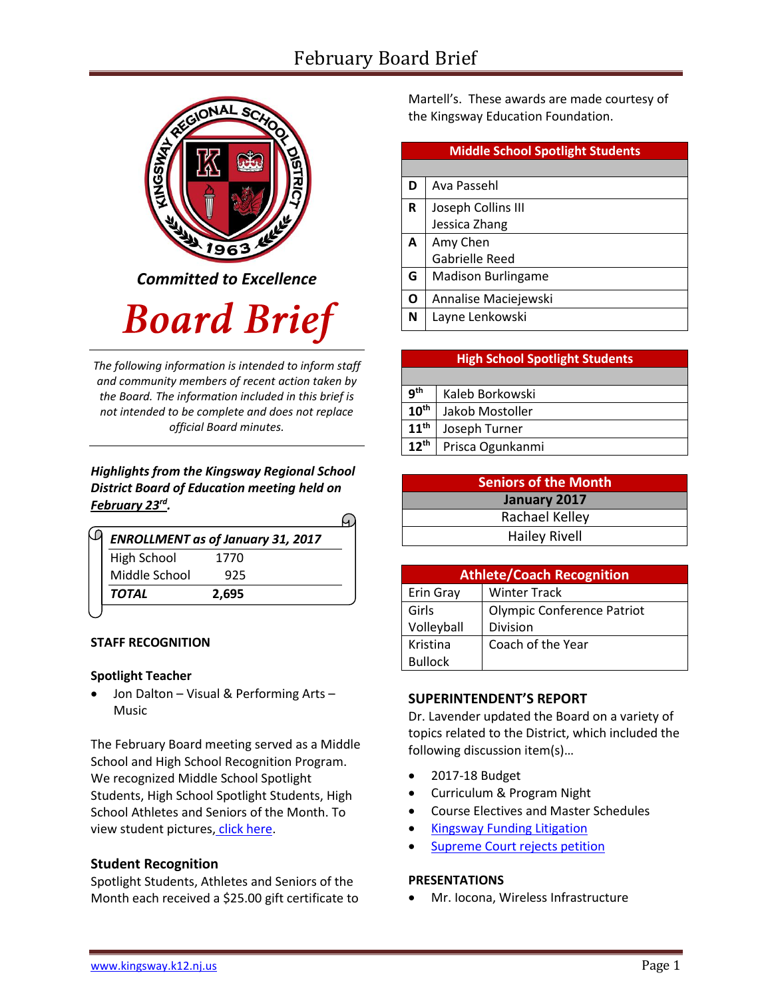# February Board Brief



*Committed to Excellence*

# **Board Brief**

*The following information is intended to inform staff and community members of recent action taken by the Board. The information included in this brief is not intended to be complete and does not replace official Board minutes.*

# *Highlights from the Kingsway Regional School District Board of Education meeting held on February 23rd .*

| <b>ENROLLMENT</b> as of January 31, 2017 |  |
|------------------------------------------|--|
| 1770                                     |  |
| 925                                      |  |
| 2,695                                    |  |
|                                          |  |

# **STAFF RECOGNITION**

# **Spotlight Teacher**

 Jon Dalton – Visual & Performing Arts – Music

The February Board meeting served as a Middle School and High School Recognition Program. We recognized Middle School Spotlight Students, High School Spotlight Students, High School Athletes and Seniors of the Month. To view student pictures, [click here.](http://www.krsd.org/Page/1303)

# **Student Recognition**

Spotlight Students, Athletes and Seniors of the Month each received a \$25.00 gift certificate to Martell's. These awards are made courtesy of the Kingsway Education Foundation.

| <b>Middle School Spotlight Students</b> |                           |  |
|-----------------------------------------|---------------------------|--|
|                                         |                           |  |
| D                                       | Ava Passehl               |  |
| R                                       | Joseph Collins III        |  |
|                                         | Jessica Zhang             |  |
| A                                       | Amy Chen                  |  |
|                                         | <b>Gabrielle Reed</b>     |  |
| G                                       | <b>Madison Burlingame</b> |  |
| Ο                                       | Annalise Maciejewski      |  |
| N                                       | Layne Lenkowski           |  |

# **High School Spotlight Students**

| q <sup>th</sup>  | Kaleb Borkowski  |
|------------------|------------------|
| $10^{\text{th}}$ | Jakob Mostoller  |
| $11^{\text{th}}$ | Joseph Turner    |
| $12^{th}$        | Prisca Ogunkanmi |

| <b>Seniors of the Month</b> |  |  |
|-----------------------------|--|--|
| January 2017                |  |  |
| Rachael Kelley              |  |  |
| <b>Hailey Rivell</b>        |  |  |

| <b>Athlete/Coach Recognition</b> |                            |  |  |  |  |
|----------------------------------|----------------------------|--|--|--|--|
| Erin Gray                        | <b>Winter Track</b>        |  |  |  |  |
| Girls                            | Olympic Conference Patriot |  |  |  |  |
| Volleyball                       | <b>Division</b>            |  |  |  |  |
| Kristina                         | Coach of the Year          |  |  |  |  |
| <b>Bullock</b>                   |                            |  |  |  |  |

# **SUPERINTENDENT'S REPORT**

Dr. Lavender updated the Board on a variety of topics related to the District, which included the following discussion item(s)…

- 2017-18 Budget
- Curriculum & Program Night
- Course Electives and Master Schedules
- [Kingsway Funding Litigation](http://www.krsd.org/cms/lib8/NJ01912751/Centricity/Domain/375/Kingsway%20files%20motion%20with%20supreme%20court%20to%20follow%20funding%20formula%20render%20hold%20harmless%20unconstitutional%202.10.17.pdf)
- [Supreme Court rejects petition](http://www.krsd.org/cms/lib8/NJ01912751/Centricity/Domain/4/Supreme%20Court%20rejects%20petition%20Kingsway%20pledges%20to%20fight%20in%20trial%20courts.pdf)

#### **PRESENTATIONS**

Mr. Iocona, Wireless Infrastructure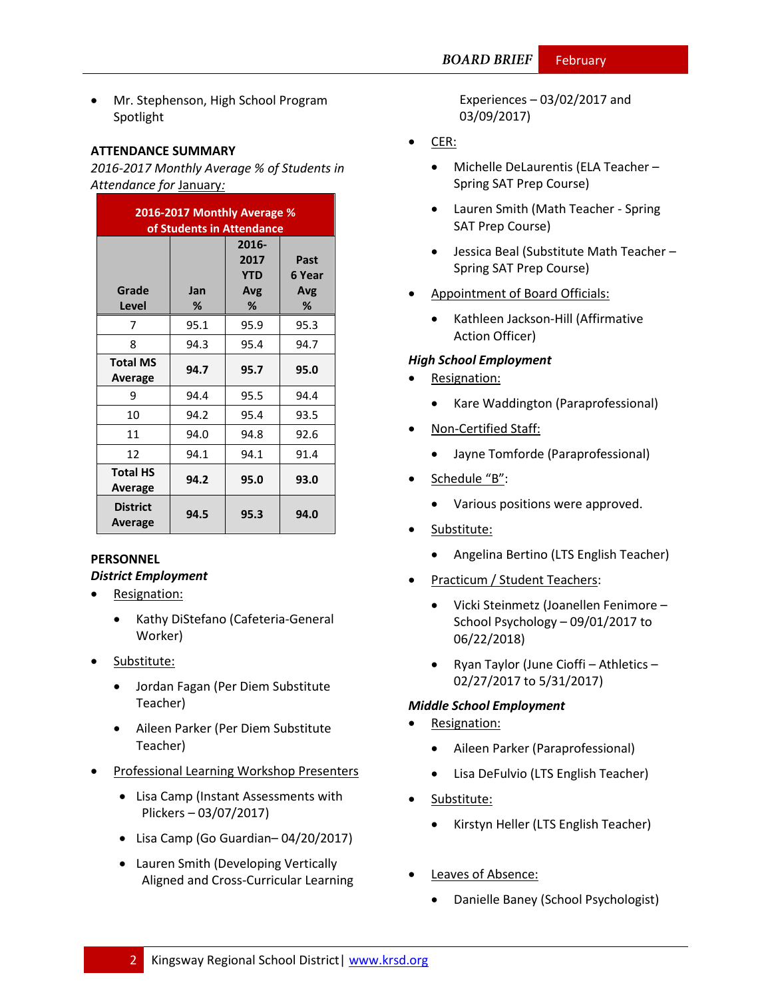Mr. Stephenson, High School Program Spotlight

#### **ATTENDANCE SUMMARY**

*2016-2017 Monthly Average % of Students in Attendance for* January*:*

| 2016-2017 Monthly Average %<br>of Students in Attendance |          |                                         |                            |  |  |
|----------------------------------------------------------|----------|-----------------------------------------|----------------------------|--|--|
| Grade<br>Level                                           | Jan<br>℅ | 2016-<br>2017<br><b>YTD</b><br>Avg<br>% | Past<br>6 Year<br>Avg<br>% |  |  |
| 7                                                        | 95.1     | 95.9                                    | 95.3                       |  |  |
| 8                                                        | 94.3     | 95.4                                    | 94.7                       |  |  |
| <b>Total MS</b><br>Average                               | 94.7     | 95.7                                    | 95.0                       |  |  |
| 9                                                        | 94.4     | 95.5                                    | 94.4                       |  |  |
| 10                                                       | 94.2     | 95.4                                    | 93.5                       |  |  |
| 11                                                       | 94.0     | 94.8                                    | 92.6                       |  |  |
| 12                                                       | 94.1     | 94.1                                    | 91.4                       |  |  |
| <b>Total HS</b><br>Average                               | 94.2     | 95.0                                    | 93.0                       |  |  |
| <b>District</b><br>Average                               | 94.5     | 95.3                                    | 94.0                       |  |  |

# **PERSONNEL** *District Employment*

- Resignation:
	- Kathy DiStefano (Cafeteria-General Worker)
- Substitute:
	- Jordan Fagan (Per Diem Substitute Teacher)
	- Aileen Parker (Per Diem Substitute Teacher)
- Professional Learning Workshop Presenters
	- Lisa Camp (Instant Assessments with Plickers – 03/07/2017)
	- Lisa Camp (Go Guardian– 04/20/2017)
	- Lauren Smith (Developing Vertically Aligned and Cross-Curricular Learning

Experiences – 03/02/2017 and 03/09/2017)

- CER:
	- Michelle DeLaurentis (ELA Teacher Spring SAT Prep Course)
	- Lauren Smith (Math Teacher Spring SAT Prep Course)
	- Jessica Beal (Substitute Math Teacher Spring SAT Prep Course)
- Appointment of Board Officials:
	- Kathleen Jackson-Hill (Affirmative Action Officer)

# *High School Employment*

- Resignation:
	- Kare Waddington (Paraprofessional)
- Non-Certified Staff:
	- Jayne Tomforde (Paraprofessional)
- Schedule "B":
	- Various positions were approved.
- Substitute:
	- Angelina Bertino (LTS English Teacher)
- Practicum / Student Teachers:
	- Vicki Steinmetz (Joanellen Fenimore School Psychology – 09/01/2017 to 06/22/2018)
	- Ryan Taylor (June Cioffi Athletics 02/27/2017 to 5/31/2017)

# *Middle School Employment*

- Resignation:
	- Aileen Parker (Paraprofessional)
	- Lisa DeFulvio (LTS English Teacher)
- Substitute:
	- Kirstyn Heller (LTS English Teacher)
- Leaves of Absence:
	- Danielle Baney (School Psychologist)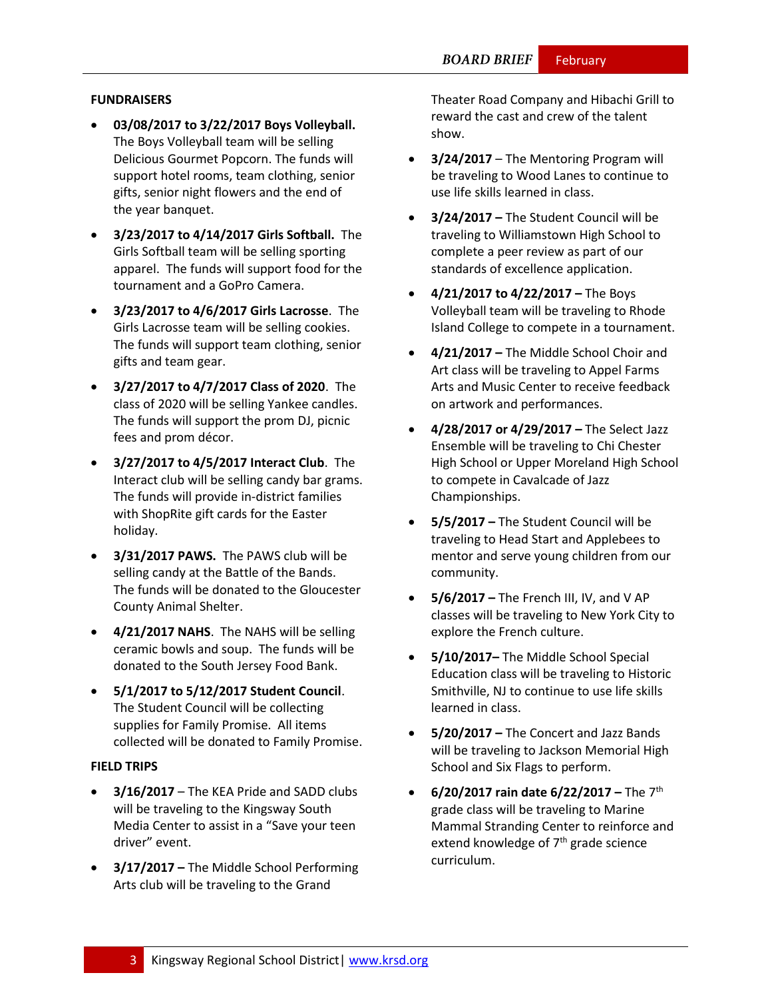#### **FUNDRAISERS**

- **03/08/2017 to 3/22/2017 Boys Volleyball.**  The Boys Volleyball team will be selling Delicious Gourmet Popcorn. The funds will support hotel rooms, team clothing, senior gifts, senior night flowers and the end of the year banquet.
- **3/23/2017 to 4/14/2017 Girls Softball.** The Girls Softball team will be selling sporting apparel. The funds will support food for the tournament and a GoPro Camera.
- **3/23/2017 to 4/6/2017 Girls Lacrosse**. The Girls Lacrosse team will be selling cookies. The funds will support team clothing, senior gifts and team gear.
- **3/27/2017 to 4/7/2017 Class of 2020**. The class of 2020 will be selling Yankee candles. The funds will support the prom DJ, picnic fees and prom décor.
- **3/27/2017 to 4/5/2017 Interact Club**. The Interact club will be selling candy bar grams. The funds will provide in-district families with ShopRite gift cards for the Easter holiday.
- **3/31/2017 PAWS.** The PAWS club will be selling candy at the Battle of the Bands. The funds will be donated to the Gloucester County Animal Shelter.
- **4/21/2017 NAHS**. The NAHS will be selling ceramic bowls and soup. The funds will be donated to the South Jersey Food Bank.
- **5/1/2017 to 5/12/2017 Student Council**. The Student Council will be collecting supplies for Family Promise. All items collected will be donated to Family Promise.

#### **FIELD TRIPS**

- **3/16/2017** The KEA Pride and SADD clubs will be traveling to the Kingsway South Media Center to assist in a "Save your teen driver" event.
- **3/17/2017 –** The Middle School Performing Arts club will be traveling to the Grand

Theater Road Company and Hibachi Grill to reward the cast and crew of the talent show.

- **3/24/2017** The Mentoring Program will be traveling to Wood Lanes to continue to use life skills learned in class.
- **3/24/2017 –** The Student Council will be traveling to Williamstown High School to complete a peer review as part of our standards of excellence application.
- **4/21/2017 to 4/22/2017 –** The Boys Volleyball team will be traveling to Rhode Island College to compete in a tournament.
- **4/21/2017 –** The Middle School Choir and Art class will be traveling to Appel Farms Arts and Music Center to receive feedback on artwork and performances.
- **4/28/2017 or 4/29/2017 –** The Select Jazz Ensemble will be traveling to Chi Chester High School or Upper Moreland High School to compete in Cavalcade of Jazz Championships.
- **5/5/2017 –** The Student Council will be traveling to Head Start and Applebees to mentor and serve young children from our community.
- **5/6/2017 –** The French III, IV, and V AP classes will be traveling to New York City to explore the French culture.
- **5/10/2017–** The Middle School Special Education class will be traveling to Historic Smithville, NJ to continue to use life skills learned in class.
- **5/20/2017 –** The Concert and Jazz Bands will be traveling to Jackson Memorial High School and Six Flags to perform.
- **6/20/2017 rain date 6/22/2017 –** The 7th grade class will be traveling to Marine Mammal Stranding Center to reinforce and extend knowledge of  $7<sup>th</sup>$  grade science curriculum.